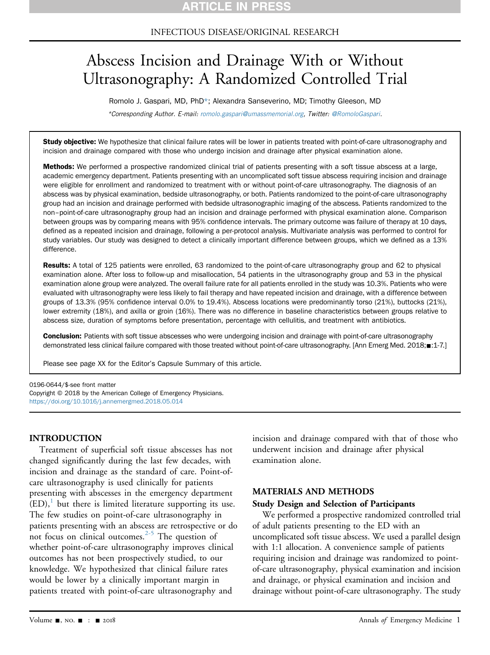#### INFECTIOUS DISEASE/ORIGINAL RESEARCH

# Abscess Incision and Drainage With or Without Ultrasonography: A Randomized Controlled Trial

Romolo J. Gaspari, MD, PhD\*; Alexandra Sanseverino, MD; Timothy Gleeson, MD

\*Corresponding Author. E-mail: [romolo.gaspari@umassmemorial.org](mailto:romolo.gaspari@umassmemorial.org), Twitter: [@RomoloGaspari.](https://twitter.com/RomoloGaspari)

Study objective: We hypothesize that clinical failure rates will be lower in patients treated with point-of-care ultrasonography and incision and drainage compared with those who undergo incision and drainage after physical examination alone.

Methods: We performed a prospective randomized clinical trial of patients presenting with a soft tissue abscess at a large, academic emergency department. Patients presenting with an uncomplicated soft tissue abscess requiring incision and drainage were eligible for enrollment and randomized to treatment with or without point-of-care ultrasonography. The diagnosis of an abscess was by physical examination, bedside ultrasonography, or both. Patients randomized to the point-of-care ultrasonography group had an incision and drainage performed with bedside ultrasonographic imaging of the abscess. Patients randomized to the non–point-of-care ultrasonography group had an incision and drainage performed with physical examination alone. Comparison between groups was by comparing means with 95% confidence intervals. The primary outcome was failure of therapy at 10 days, defined as a repeated incision and drainage, following a per-protocol analysis. Multivariate analysis was performed to control for study variables. Our study was designed to detect a clinically important difference between groups, which we defined as a 13% difference.

Results: A total of 125 patients were enrolled, 63 randomized to the point-of-care ultrasonography group and 62 to physical examination alone. After loss to follow-up and misallocation, 54 patients in the ultrasonography group and 53 in the physical examination alone group were analyzed. The overall failure rate for all patients enrolled in the study was 10.3%. Patients who were evaluated with ultrasonography were less likely to fail therapy and have repeated incision and drainage, with a difference between groups of 13.3% (95% confidence interval 0.0% to 19.4%). Abscess locations were predominantly torso (21%), buttocks (21%), lower extremity (18%), and axilla or groin (16%). There was no difference in baseline characteristics between groups relative to abscess size, duration of symptoms before presentation, percentage with cellulitis, and treatment with antibiotics.

Conclusion: Patients with soft tissue abscesses who were undergoing incision and drainage with point-of-care ultrasonography demonstrated less clinical failure compared with those treated without point-of-care ultrasonography. [Ann Emerg Med. 2018; .: 1-7.]

Please see page XX for the Editor's Capsule Summary of this article.

0196-0644/\$-see front matter

Copyright © 2018 by the American College of Emergency Physicians. <https://doi.org/10.1016/j.annemergmed.2018.05.014>

#### INTRODUCTION

Treatment of superficial soft tissue abscesses has not changed significantly during the last few decades, with incision and drainage as the standard of care. Point-ofcare ultrasonography is used clinically for patients presenting with abscesses in the emergency department  $(ED)$ , but there is limited literature supporting its use. The few studies on point-of-care ultrasonography in patients presenting with an abscess are retrospective or do not focus on clinical outcomes. $2-5$  The question of whether point-of-care ultrasonography improves clinical outcomes has not been prospectively studied, to our knowledge. We hypothesized that clinical failure rates would be lower by a clinically important margin in patients treated with point-of-care ultrasonography and

incision and drainage compared with that of those who underwent incision and drainage after physical examination alone.

#### MATERIALS AND METHODS

#### Study Design and Selection of Participants

We performed a prospective randomized controlled trial of adult patients presenting to the ED with an uncomplicated soft tissue abscess. We used a parallel design with 1:1 allocation. A convenience sample of patients requiring incision and drainage was randomized to pointof-care ultrasonography, physical examination and incision and drainage, or physical examination and incision and drainage without point-of-care ultrasonography. The study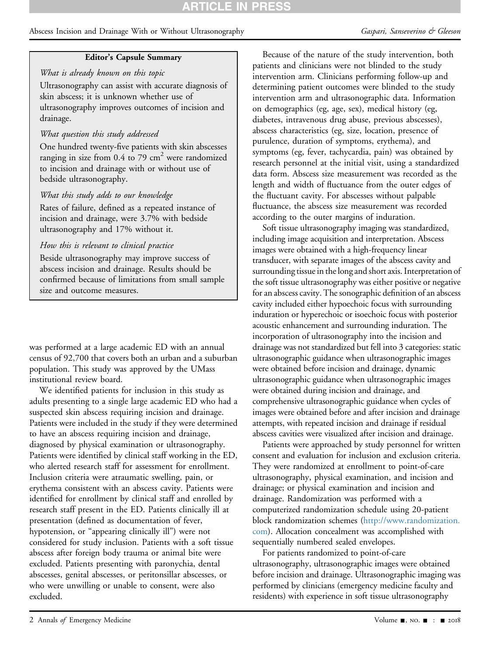#### Abscess Incision and Drainage With or Without Ultrasonography Gaspari, Sanseverino & Gleeson

#### Editor's Capsule Summary

#### What is already known on this topic

Ultrasonography can assist with accurate diagnosis of skin abscess; it is unknown whether use of ultrasonography improves outcomes of incision and drainage.

### What question this study addressed

One hundred twenty-five patients with skin abscesses ranging in size from  $0.4$  to  $79 \text{ cm}^2$  were randomized to incision and drainage with or without use of bedside ultrasonography.

### What this study adds to our knowledge

Rates of failure, defined as a repeated instance of incision and drainage, were 3.7% with bedside ultrasonography and 17% without it.

#### How this is relevant to clinical practice

Beside ultrasonography may improve success of abscess incision and drainage. Results should be confirmed because of limitations from small sample size and outcome measures.

was performed at a large academic ED with an annual census of 92,700 that covers both an urban and a suburban population. This study was approved by the UMass institutional review board.

We identified patients for inclusion in this study as adults presenting to a single large academic ED who had a suspected skin abscess requiring incision and drainage. Patients were included in the study if they were determined to have an abscess requiring incision and drainage, diagnosed by physical examination or ultrasonography. Patients were identified by clinical staff working in the ED, who alerted research staff for assessment for enrollment. Inclusion criteria were atraumatic swelling, pain, or erythema consistent with an abscess cavity. Patients were identified for enrollment by clinical staff and enrolled by research staff present in the ED. Patients clinically ill at presentation (defined as documentation of fever, hypotension, or "appearing clinically ill") were not considered for study inclusion. Patients with a soft tissue abscess after foreign body trauma or animal bite were excluded. Patients presenting with paronychia, dental abscesses, genital abscesses, or peritonsillar abscesses, or who were unwilling or unable to consent, were also excluded.

Because of the nature of the study intervention, both patients and clinicians were not blinded to the study intervention arm. Clinicians performing follow-up and determining patient outcomes were blinded to the study intervention arm and ultrasonographic data. Information on demographics (eg, age, sex), medical history (eg, diabetes, intravenous drug abuse, previous abscesses), abscess characteristics (eg, size, location, presence of purulence, duration of symptoms, erythema), and symptoms (eg, fever, tachycardia, pain) was obtained by research personnel at the initial visit, using a standardized data form. Abscess size measurement was recorded as the length and width of fluctuance from the outer edges of the fluctuant cavity. For abscesses without palpable fluctuance, the abscess size measurement was recorded according to the outer margins of induration.

Soft tissue ultrasonography imaging was standardized, including image acquisition and interpretation. Abscess images were obtained with a high-frequency linear transducer, with separate images of the abscess cavity and surrounding tissue in the long and short axis. Interpretation of the soft tissue ultrasonography was either positive or negative for an abscess cavity. The sonographic definition of an abscess cavity included either hypoechoic focus with surrounding induration or hyperechoic or isoechoic focus with posterior acoustic enhancement and surrounding induration. The incorporation of ultrasonography into the incision and drainage was not standardized but fell into 3 categories: static ultrasonographic guidance when ultrasonographic images were obtained before incision and drainage, dynamic ultrasonographic guidance when ultrasonographic images were obtained during incision and drainage, and comprehensive ultrasonographic guidance when cycles of images were obtained before and after incision and drainage attempts, with repeated incision and drainage if residual abscess cavities were visualized after incision and drainage.

Patients were approached by study personnel for written consent and evaluation for inclusion and exclusion criteria. They were randomized at enrollment to point-of-care ultrasonography, physical examination, and incision and drainage; or physical examination and incision and drainage. Randomization was performed with a computerized randomization schedule using 20-patient block randomization schemes ([http://www.randomization.](http://www.randomization.com) [com\)](http://www.randomization.com). Allocation concealment was accomplished with sequentially numbered sealed envelopes.

For patients randomized to point-of-care ultrasonography, ultrasonographic images were obtained before incision and drainage. Ultrasonographic imaging was performed by clinicians (emergency medicine faculty and residents) with experience in soft tissue ultrasonography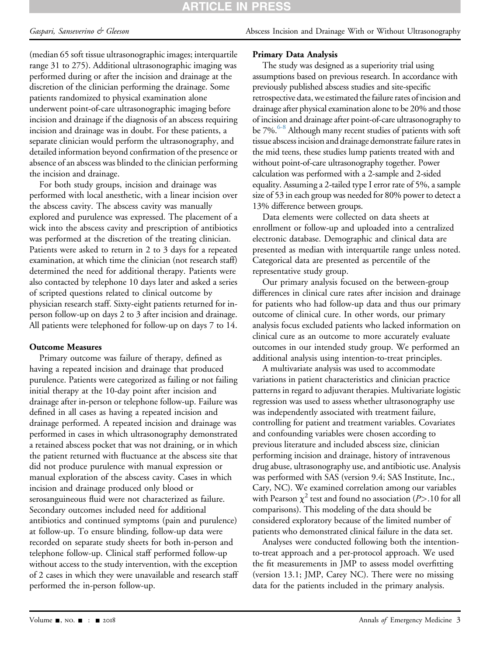# **\RTICLE IN PRES**

Gaspari, Sanseverino & Gleeson **Abscess Incision and Drainage With or Without Ultrasonography** 

(median 65 soft tissue ultrasonographic images; interquartile range 31 to 275). Additional ultrasonographic imaging was performed during or after the incision and drainage at the discretion of the clinician performing the drainage. Some patients randomized to physical examination alone underwent point-of-care ultrasonographic imaging before incision and drainage if the diagnosis of an abscess requiring incision and drainage was in doubt. For these patients, a separate clinician would perform the ultrasonography, and detailed information beyond confirmation of the presence or absence of an abscess was blinded to the clinician performing the incision and drainage.

For both study groups, incision and drainage was performed with local anesthetic, with a linear incision over the abscess cavity. The abscess cavity was manually explored and purulence was expressed. The placement of a wick into the abscess cavity and prescription of antibiotics was performed at the discretion of the treating clinician. Patients were asked to return in 2 to 3 days for a repeated examination, at which time the clinician (not research staff) determined the need for additional therapy. Patients were also contacted by telephone 10 days later and asked a series of scripted questions related to clinical outcome by physician research staff. Sixty-eight patients returned for inperson follow-up on days 2 to 3 after incision and drainage. All patients were telephoned for follow-up on days 7 to 14.

#### Outcome Measures

Primary outcome was failure of therapy, defined as having a repeated incision and drainage that produced purulence. Patients were categorized as failing or not failing initial therapy at the 10-day point after incision and drainage after in-person or telephone follow-up. Failure was defined in all cases as having a repeated incision and drainage performed. A repeated incision and drainage was performed in cases in which ultrasonography demonstrated a retained abscess pocket that was not draining, or in which the patient returned with fluctuance at the abscess site that did not produce purulence with manual expression or manual exploration of the abscess cavity. Cases in which incision and drainage produced only blood or serosanguineous fluid were not characterized as failure. Secondary outcomes included need for additional antibiotics and continued symptoms (pain and purulence) at follow-up. To ensure blinding, follow-up data were recorded on separate study sheets for both in-person and telephone follow-up. Clinical staff performed follow-up without access to the study intervention, with the exception of 2 cases in which they were unavailable and research staff performed the in-person follow-up.

#### Primary Data Analysis

The study was designed as a superiority trial using assumptions based on previous research. In accordance with previously published abscess studies and site-specific retrospective data, we estimated the failure rates of incision and drainage after physical examination alone to be 20% and those of incision and drainage after point-of-care ultrasonography to be 7%.<sup>[6-8](#page-6-2)</sup> Although many recent studies of patients with soft tissue abscess incision and drainage demonstrate failure rates in the mid teens, these studies lump patients treated with and without point-of-care ultrasonography together. Power calculation was performed with a 2-sample and 2-sided equality. Assuming a 2-tailed type I error rate of 5%, a sample size of 53 in each group was needed for 80% power to detect a 13% difference between groups.

Data elements were collected on data sheets at enrollment or follow-up and uploaded into a centralized electronic database. Demographic and clinical data are presented as median with interquartile range unless noted. Categorical data are presented as percentile of the representative study group.

Our primary analysis focused on the between-group differences in clinical cure rates after incision and drainage for patients who had follow-up data and thus our primary outcome of clinical cure. In other words, our primary analysis focus excluded patients who lacked information on clinical cure as an outcome to more accurately evaluate outcomes in our intended study group. We performed an additional analysis using intention-to-treat principles.

A multivariate analysis was used to accommodate variations in patient characteristics and clinician practice patterns in regard to adjuvant therapies. Multivariate logistic regression was used to assess whether ultrasonography use was independently associated with treatment failure, controlling for patient and treatment variables. Covariates and confounding variables were chosen according to previous literature and included abscess size, clinician performing incision and drainage, history of intravenous drug abuse, ultrasonography use, and antibiotic use. Analysis was performed with SAS (version 9.4; SAS Institute, Inc., Cary, NC). We examined correlation among our variables with Pearson  $\chi^2$  test and found no association (P>.10 for all comparisons). This modeling of the data should be considered exploratory because of the limited number of patients who demonstrated clinical failure in the data set.

Analyses were conducted following both the intentionto-treat approach and a per-protocol approach. We used the fit measurements in JMP to assess model overfitting (version 13.1; JMP, Carey NC). There were no missing data for the patients included in the primary analysis.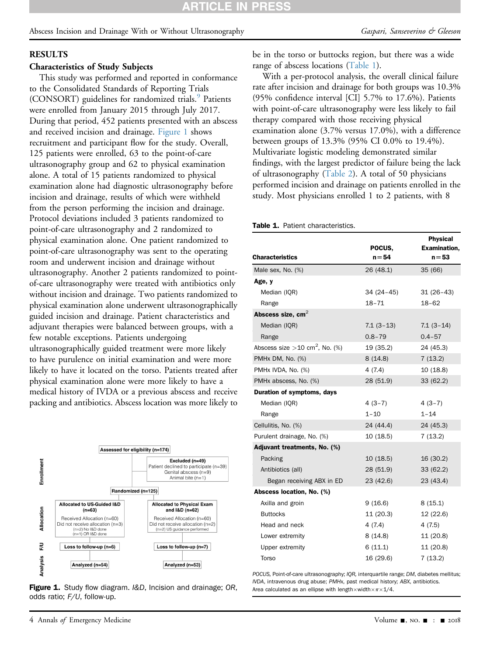Abscess Incision and Drainage With or Without Ultrasonography Gaspari, Sanseverino & Gleeson

#### RESULTS

#### Characteristics of Study Subjects

This study was performed and reported in conformance to the Consolidated Standards of Reporting Trials (CONSORT) guidelines for randomized trials.<sup>9</sup> Patients were enrolled from January 2015 through July 2017. During that period, 452 patients presented with an abscess and received incision and drainage. [Figure 1](#page-3-0) shows recruitment and participant flow for the study. Overall, 125 patients were enrolled, 63 to the point-of-care ultrasonography group and 62 to physical examination alone. A total of 15 patients randomized to physical examination alone had diagnostic ultrasonography before incision and drainage, results of which were withheld from the person performing the incision and drainage. Protocol deviations included 3 patients randomized to point-of-care ultrasonography and 2 randomized to physical examination alone. One patient randomized to point-of-care ultrasonography was sent to the operating room and underwent incision and drainage without ultrasonography. Another 2 patients randomized to pointof-care ultrasonography were treated with antibiotics only without incision and drainage. Two patients randomized to physical examination alone underwent ultrasonographically guided incision and drainage. Patient characteristics and adjuvant therapies were balanced between groups, with a few notable exceptions. Patients undergoing ultrasonographically guided treatment were more likely to have purulence on initial examination and were more likely to have it located on the torso. Patients treated after physical examination alone were more likely to have a medical history of IVDA or a previous abscess and receive packing and antibiotics. Abscess location was more likely to

<span id="page-3-0"></span>

Figure 1. Study flow diagram. I&D, Incision and drainage; OR, odds ratio; F/U, follow-up.

be in the torso or buttocks region, but there was a wide range of abscess locations [\(Table 1\)](#page-3-1).

With a per-protocol analysis, the overall clinical failure rate after incision and drainage for both groups was 10.3% (95% confidence interval [CI] 5.7% to 17.6%). Patients with point-of-care ultrasonography were less likely to fail therapy compared with those receiving physical examination alone (3.7% versus 17.0%), with a difference between groups of 13.3% (95% CI 0.0% to 19.4%). Multivariate logistic modeling demonstrated similar findings, with the largest predictor of failure being the lack of ultrasonography [\(Table 2](#page-4-0)). A total of 50 physicians performed incision and drainage on patients enrolled in the study. Most physicians enrolled 1 to 2 patients, with 8

Table 1. Patient characteristics.

|                                              |                  | <b>Physical</b>               |  |
|----------------------------------------------|------------------|-------------------------------|--|
| <b>Characteristics</b>                       | POCUS,<br>n = 54 | <b>Examination,</b><br>n = 53 |  |
| Male sex, No. (%)                            | 26 (48.1)        | 35 (66)                       |  |
| Age, y                                       |                  |                               |  |
| Median (IQR)                                 | $34(24-45)$      | $31(26-43)$                   |  |
| Range                                        | $18 - 71$        | $18 - 62$                     |  |
| Abscess size, cm $^2$                        |                  |                               |  |
| Median (IQR)                                 | $7.1(3-13)$      | $7.1(3-14)$                   |  |
| Range                                        | $0.8 - 79$       | $0.4 - 57$                    |  |
| Abscess size $>10$ cm <sup>2</sup> , No. (%) | 19 (35.2)        | 24 (45.3)                     |  |
| PMHx DM, No. (%)                             | 8(14.8)          | 7(13.2)                       |  |
| PMHx IVDA, No. (%)                           | 4(7.4)           | 10 (18.8)                     |  |
| PMHx abscess, No. (%)                        | 28 (51.9)        | 33 (62.2)                     |  |
| Duration of symptoms, days                   |                  |                               |  |
| Median (IQR)                                 | $4(3-7)$         | $4(3-7)$                      |  |
| Range                                        | 1-10             | $1 - 14$                      |  |
| Cellulitis, No. (%)                          | 24 (44.4)        | 24 (45.3)                     |  |
| Purulent drainage, No. (%)                   | 10(18.5)         | 7(13.2)                       |  |
| Adjuvant treatments, No. (%)                 |                  |                               |  |
| Packing                                      | 10(18.5)         | 16 (30.2)                     |  |
| Antibiotics (all)                            | 28 (51.9)        | 33 (62.2)                     |  |
| Began receiving ABX in ED                    | 23(42.6)         | 23 (43.4)                     |  |
| Abscess location, No. (%)                    |                  |                               |  |
| Axilla and groin                             | 9(16.6)          | 8(15.1)                       |  |
| <b>Buttocks</b>                              | 11(20.3)         | 12 (22.6)                     |  |
| Head and neck                                | 4(7.4)           | 4 (7.5)                       |  |
| Lower extremity                              | 8(14.8)          | 11(20.8)                      |  |
| Upper extremity                              | 6(11.1)          | 11 (20.8)                     |  |
| Torso                                        | 16 (29.6)        | 7(13.2)                       |  |

<span id="page-3-1"></span>POCUS, Point-of-care ultrasonography; IQR, interquartile range; DM, diabetes mellitus; IVDA, intravenous drug abuse; PMHx, past medical history; ABX, antibiotics. Area calculated as an ellipse with length  $\times$  width $\times\pi\times1/4$ .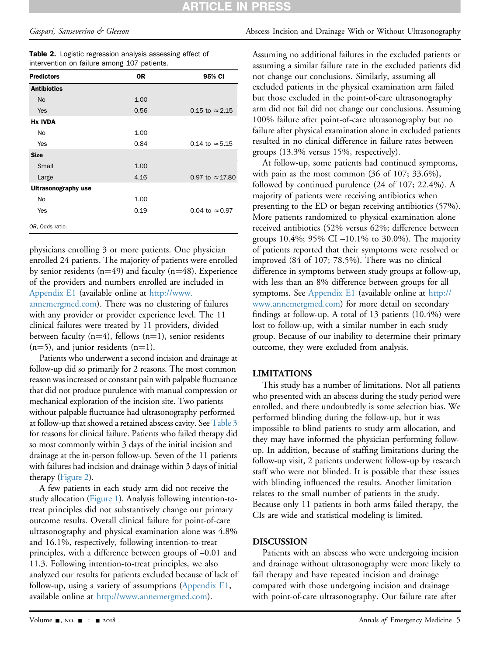| <b>Table 2.</b> Logistic regression analysis assessing effect of |
|------------------------------------------------------------------|
| intervention on failure among 107 patients.                      |

| <b>Predictors</b>          | <b>OR</b> | 95% CI                  |
|----------------------------|-----------|-------------------------|
| <b>Antibiotics</b>         |           |                         |
| <b>No</b>                  | 1.00      |                         |
| Yes                        | 0.56      | 0.15 to $\approx$ 2.15  |
| <b>Hx IVDA</b>             |           |                         |
| No                         | 1.00      |                         |
| Yes                        | 0.84      | 0.14 to $\approx$ 5.15  |
| <b>Size</b>                |           |                         |
| Small                      | 1.00      |                         |
| Large                      | 4.16      | 0.97 to $\approx$ 17.80 |
| <b>Ultrasonography use</b> |           |                         |
| No                         | 1.00      |                         |
| Yes                        | 0.19      | 0.04 to $\approx 0.97$  |
| OR, Odds ratio.            |           |                         |

<span id="page-4-0"></span>physicians enrolling 3 or more patients. One physician enrolled 24 patients. The majority of patients were enrolled by senior residents (n=49) and faculty (n=48). Experience of the providers and numbers enrolled are included in Appendix E1 (available online at [http://www.](http://www.annemergmed.com) [annemergmed.com](http://www.annemergmed.com)). There was no clustering of failures with any provider or provider experience level. The 11 clinical failures were treated by 11 providers, divided between faculty (n=4), fellows (n=1), senior residents  $(n=5)$ , and junior residents  $(n=1)$ .

Patients who underwent a second incision and drainage at follow-up did so primarily for 2 reasons. The most common reason was increased or constant pain with palpable fluctuance that did not produce purulence with manual compression or mechanical exploration of the incision site. Two patients without palpable fluctuance had ultrasonography performed at follow-up that showed a retained abscess cavity. See [Table 3](#page-5-0) for reasons for clinical failure. Patients who failed therapy did so most commonly within 3 days of the initial incision and drainage at the in-person follow-up. Seven of the 11 patients with failures had incision and drainage within 3 days of initial therapy ([Figure 2\)](#page-5-1).

A few patients in each study arm did not receive the study allocation ([Figure 1\)](#page-3-0). Analysis following intention-totreat principles did not substantively change our primary outcome results. Overall clinical failure for point-of-care ultrasonography and physical examination alone was 4.8% and 16.1%, respectively, following intention-to-treat principles, with a difference between groups of –0.01 and 11.3. Following intention-to-treat principles, we also analyzed our results for patients excluded because of lack of follow-up, using a variety of assumptions (Appendix E1, available online at [http://www.annemergmed.com\)](http://www.annemergmed.com).

Assuming no additional failures in the excluded patients or assuming a similar failure rate in the excluded patients did not change our conclusions. Similarly, assuming all excluded patients in the physical examination arm failed but those excluded in the point-of-care ultrasonography arm did not fail did not change our conclusions. Assuming 100% failure after point-of-care ultrasonography but no failure after physical examination alone in excluded patients resulted in no clinical difference in failure rates between groups (13.3% versus 15%, respectively).

At follow-up, some patients had continued symptoms, with pain as the most common (36 of 107; 33.6%), followed by continued purulence (24 of 107; 22.4%). A majority of patients were receiving antibiotics when presenting to the ED or began receiving antibiotics (57%). More patients randomized to physical examination alone received antibiotics (52% versus 62%; difference between groups 10.4%; 95% CI –10.1% to 30.0%). The majority of patients reported that their symptoms were resolved or improved (84 of 107; 78.5%). There was no clinical difference in symptoms between study groups at follow-up, with less than an 8% difference between groups for all symptoms. See Appendix E1 (available online at [http://](http://www.annemergmed.com) [www.annemergmed.com](http://www.annemergmed.com)) for more detail on secondary findings at follow-up. A total of 13 patients (10.4%) were lost to follow-up, with a similar number in each study group. Because of our inability to determine their primary outcome, they were excluded from analysis.

#### LIMITATIONS

This study has a number of limitations. Not all patients who presented with an abscess during the study period were enrolled, and there undoubtedly is some selection bias. We performed blinding during the follow-up, but it was impossible to blind patients to study arm allocation, and they may have informed the physician performing followup. In addition, because of staffing limitations during the follow-up visit, 2 patients underwent follow-up by research staff who were not blinded. It is possible that these issues with blinding influenced the results. Another limitation relates to the small number of patients in the study. Because only 11 patients in both arms failed therapy, the CIs are wide and statistical modeling is limited.

#### DISCUSSION

Patients with an abscess who were undergoing incision and drainage without ultrasonography were more likely to fail therapy and have repeated incision and drainage compared with those undergoing incision and drainage with point-of-care ultrasonography. Our failure rate after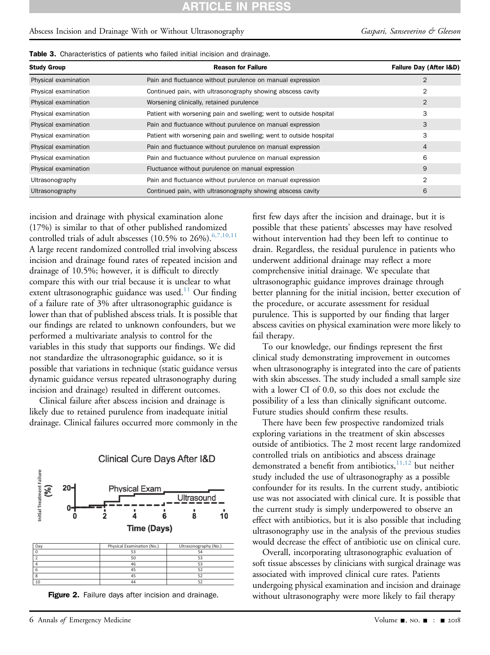#### Abscess Incision and Drainage With or Without Ultrasonography Gaspari, Sanseverino & Gleeson

<span id="page-5-0"></span>

| <b>Study Group</b>   | <b>Reason for Failure</b>                                          | Failure Day (After I&D) |
|----------------------|--------------------------------------------------------------------|-------------------------|
| Physical examination | Pain and fluctuance without purulence on manual expression         | 2                       |
| Physical examination | Continued pain, with ultrasonography showing abscess cavity        | 2                       |
| Physical examination | Worsening clinically, retained purulence                           | 2                       |
| Physical examination | Patient with worsening pain and swelling; went to outside hospital | 3                       |
| Physical examination | Pain and fluctuance without purulence on manual expression         | 3                       |
| Physical examination | Patient with worsening pain and swelling; went to outside hospital | 3                       |
| Physical examination | Pain and fluctuance without purulence on manual expression         | 4                       |
| Physical examination | Pain and fluctuance without purulence on manual expression         | 6                       |
| Physical examination | Fluctuance without purulence on manual expression                  | 9                       |
| Ultrasonography      | Pain and fluctuance without purulence on manual expression         | $\overline{2}$          |
| Ultrasonography      | Continued pain, with ultrasonography showing abscess cavity        | 6                       |

incision and drainage with physical examination alone (17%) is similar to that of other published randomized controlled trials of adult abscesses (10.5% to 26%).  $6,7,10,11$ A large recent randomized controlled trial involving abscess incision and drainage found rates of repeated incision and drainage of 10.5%; however, it is difficult to directly compare this with our trial because it is unclear to what extent ultrasonographic guidance was used.<sup>[11](#page-6-4)</sup> Our finding of a failure rate of 3% after ultrasonographic guidance is lower than that of published abscess trials. It is possible that our findings are related to unknown confounders, but we performed a multivariate analysis to control for the variables in this study that supports our findings. We did not standardize the ultrasonographic guidance, so it is possible that variations in technique (static guidance versus dynamic guidance versus repeated ultrasonography during incision and drainage) resulted in different outcomes.

Clinical failure after abscess incision and drainage is likely due to retained purulence from inadequate initial drainage. Clinical failures occurred more commonly in the

<span id="page-5-1"></span>



first few days after the incision and drainage, but it is possible that these patients' abscesses may have resolved without intervention had they been left to continue to drain. Regardless, the residual purulence in patients who underwent additional drainage may reflect a more comprehensive initial drainage. We speculate that ultrasonographic guidance improves drainage through better planning for the initial incision, better execution of the procedure, or accurate assessment for residual purulence. This is supported by our finding that larger abscess cavities on physical examination were more likely to fail therapy.

To our knowledge, our findings represent the first clinical study demonstrating improvement in outcomes when ultrasonography is integrated into the care of patients with skin abscesses. The study included a small sample size with a lower CI of 0.0, so this does not exclude the possibility of a less than clinically significant outcome. Future studies should confirm these results.

There have been few prospective randomized trials exploring variations in the treatment of skin abscesses outside of antibiotics. The 2 most recent large randomized controlled trials on antibiotics and abscess drainage demonstrated a benefit from antibiotics,<sup>[11,12](#page-6-4)</sup> but neither study included the use of ultrasonography as a possible confounder for its results. In the current study, antibiotic use was not associated with clinical cure. It is possible that the current study is simply underpowered to observe an effect with antibiotics, but it is also possible that including ultrasonography use in the analysis of the previous studies would decrease the effect of antibiotic use on clinical cure.

Overall, incorporating ultrasonographic evaluation of soft tissue abscesses by clinicians with surgical drainage was associated with improved clinical cure rates. Patients undergoing physical examination and incision and drainage without ultrasonography were more likely to fail therapy